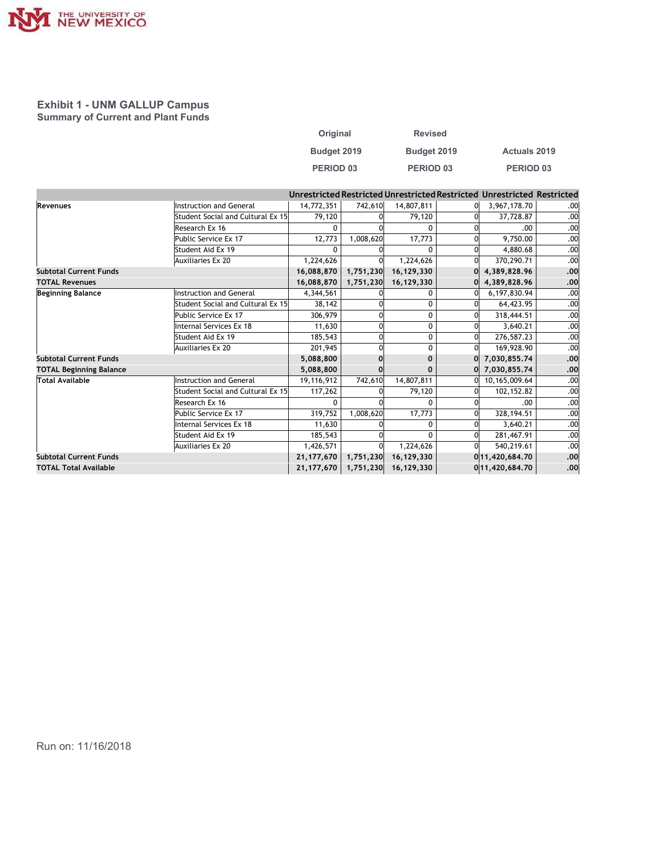

## Exhibit 1 - UNM GALLUP Campus Summary of Current and Plant Funds

|                         |         | <b>Revised</b> |  |                                                                      |     |  |
|-------------------------|---------|----------------|--|----------------------------------------------------------------------|-----|--|
| Original<br>Budget 2019 |         | Budget 2019    |  | Actuals 2019                                                         |     |  |
| PERIOD 03               |         | PERIOD 03      |  | PERIOD 03                                                            |     |  |
|                         |         |                |  | estricted Restricted Unrestricted Restricted Unrestricted Restricted |     |  |
| 14,772,351              | 742,610 | 14,807,811     |  | 3,967,178.70<br>0                                                    | .00 |  |
| 79,120                  | 하       | 79,120         |  | <sub>0</sub><br>37,728.87                                            | .00 |  |

| THE UNIVERSITY OF                         |                                        |                            |                        |                                                                         |                   |            |
|-------------------------------------------|----------------------------------------|----------------------------|------------------------|-------------------------------------------------------------------------|-------------------|------------|
|                                           |                                        |                            |                        |                                                                         |                   |            |
| <b>Exhibit 1 - UNM GALLUP Campus</b>      |                                        |                            |                        |                                                                         |                   |            |
| <b>Summary of Current and Plant Funds</b> |                                        |                            |                        |                                                                         |                   |            |
|                                           |                                        | Original                   |                        | <b>Revised</b>                                                          |                   |            |
|                                           |                                        | Budget 2019                |                        | Budget 2019                                                             | Actuals 2019      |            |
|                                           |                                        |                            |                        |                                                                         |                   |            |
|                                           |                                        | PERIOD 03                  |                        | PERIOD <sub>03</sub>                                                    | PERIOD 03         |            |
|                                           |                                        |                            |                        |                                                                         |                   |            |
|                                           |                                        |                            |                        | Unrestricted Restricted Unrestricted Restricted Unrestricted Restricted |                   |            |
| Revenues                                  | Instruction and General                | 14,772,351                 | 742,610                | 14,807,811                                                              | 3,967,178.70<br>0 | .00        |
|                                           | Student Social and Cultural Ex 15      | 79,120<br>0                |                        | 79,120                                                                  | 37,728.87         | .00<br>.00 |
|                                           | Research Ex 16<br>Public Service Ex 17 | 12,773                     | 1,008,620              | 0<br>17,773                                                             | .00.<br>9,750.00  | .00        |
|                                           | Student Aid Ex 19                      | 0                          |                        | $\mathbf 0$                                                             | 4,880.68          | .00        |
|                                           | Auxiliaries Ex 20                      | 1,224,626                  |                        | 1,224,626                                                               | 370,290.71        | .00        |
| <b>Subtotal Current Funds</b>             |                                        | 16,088,870                 | 1,751,230              | 16,129,330                                                              | 4,389,828.96      | .00        |
| <b>TOTAL Revenues</b>                     |                                        | 16,088,870                 | 1,751,230              | 16,129,330                                                              | 4,389,828.96      | .00        |
| <b>Beginning Balance</b>                  | Instruction and General                | 4,344,561                  |                        | $\mathbf 0$                                                             | 6,197,830.94      | .00        |
|                                           | Student Social and Cultural Ex 15      | 38,142                     |                        | 0                                                                       | 64,423.95         | .00        |
|                                           | Public Service Ex 17                   | 306,979                    |                        | 0                                                                       | 318,444.51        | .00        |
|                                           | Internal Services Ex 18                | 11,630                     |                        | $\mathbf 0$                                                             | 3,640.21          | .00        |
|                                           | Student Aid Ex 19                      | 185,543                    |                        | $\mathbf 0$                                                             | 276,587.23        | .00        |
|                                           | Auxiliaries Ex 20                      | 201,945                    |                        | $\mathbf 0$                                                             | 169,928.90        | .00        |
| <b>Subtotal Current Funds</b>             |                                        | 5,088,800                  |                        | $\mathbf 0$                                                             | 7,030,855.74      | .00        |
| <b>TOTAL Beginning Balance</b>            |                                        | 5,088,800                  |                        | $\mathbf 0$                                                             | 7,030,855.74      | .00        |
| <b>Total Available</b>                    | Instruction and General                | 19,116,912                 | 742,610                | 14,807,811                                                              | 10,165,009.64     | .00        |
|                                           | Student Social and Cultural Ex 15      | 117,262                    | $\Omega$               | 79,120                                                                  | 102,152.82        | .00        |
|                                           | Research Ex 16                         | 0                          | $\Omega$               | 0                                                                       | .00               | .00        |
|                                           | Public Service Ex 17                   | 319,752                    | 1,008,620              | 17,773                                                                  | 328,194.51        | .00        |
|                                           | Internal Services Ex 18                | 11,630                     |                        | 0 <sup>1</sup>                                                          | 3,640.21          | .00        |
|                                           | Student Aid Ex 19                      | 185,543                    |                        | $\mathbf 0$                                                             | 281,467.91        | .00        |
|                                           | Auxiliaries Ex 20                      | 1,426,571                  |                        | 1,224,626                                                               | 540,219.61        | .00        |
| <b>Subtotal Current Funds</b>             |                                        | 21, 177, 670   1, 751, 230 |                        | 16,129,330                                                              | 011,420,684.70    | .00        |
| <b>TOTAL Total Available</b>              |                                        |                            | $21,177,670$ 1,751,230 | 16,129,330                                                              | 011,420,684.70    | .00        |